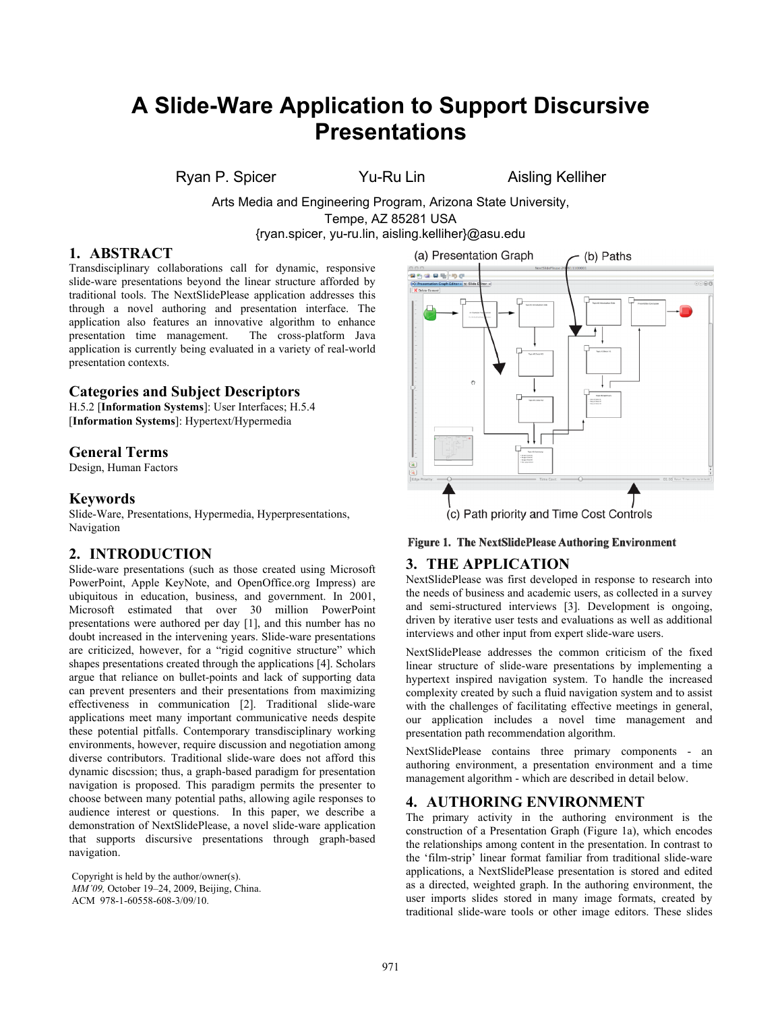# **A Slide-Ware Application to Support Discursive Presentations**

Ryan P. Spicer Yu-Ru Lin Aisling Kelliher

Arts Media and Engineering Program, Arizona State University, Tempe, AZ 85281 USA {ryan.spicer, yu-ru.lin, aisling.kelliher}@asu.edu

#### **1. ABSTRACT**

Transdisciplinary collaborations call for dynamic, responsive slide-ware presentations beyond the linear structure afforded by traditional tools. The NextSlidePlease application addresses this through a novel authoring and presentation interface. The application also features an innovative algorithm to enhance presentation time management. The cross-platform Java application is currently being evaluated in a variety of real-world presentation contexts.

#### **Categories and Subject Descriptors**

H.5.2 [**Information Systems**]: User Interfaces; H.5.4 [**Information Systems**]: Hypertext/Hypermedia

# **General Terms**

Design, Human Factors

#### **Keywords**

Slide-Ware, Presentations, Hypermedia, Hyperpresentations, Navigation

# **2. INTRODUCTION**

Slide-ware presentations (such as those created using Microsoft PowerPoint, Apple KeyNote, and OpenOffice.org Impress) are ubiquitous in education, business, and government. In 2001, Microsoft estimated that over 30 million PowerPoint presentations were authored per day [1], and this number has no doubt increased in the intervening years. Slide-ware presentations are criticized, however, for a "rigid cognitive structure" which shapes presentations created through the applications [4]. Scholars argue that reliance on bullet-points and lack of supporting data can prevent presenters and their presentations from maximizing effectiveness in communication [2]. Traditional slide-ware applications meet many important communicative needs despite these potential pitfalls. Contemporary transdisciplinary working environments, however, require discussion and negotiation among diverse contributors. Traditional slide-ware does not afford this dynamic discssion; thus, a graph-based paradigm for presentation navigation is proposed. This paradigm permits the presenter to choose between many potential paths, allowing agile responses to audience interest or questions. In this paper, we describe a demonstration of NextSlidePlease, a novel slide-ware application that supports discursive presentations through graph-based navigation.

Copyright is held by the author/owner(s). *MM'09,* October 19–24, 2009, Beijing, China. ACM 978-1-60558-608-3/09/10.



#### Figure 1. The NextSlidePlease Authoring Environment

# **3. THE APPLICATION**

NextSlidePlease was first developed in response to research into the needs of business and academic users, as collected in a survey and semi-structured interviews [3]. Development is ongoing, driven by iterative user tests and evaluations as well as additional interviews and other input from expert slide-ware users.

NextSlidePlease addresses the common criticism of the fixed linear structure of slide-ware presentations by implementing a hypertext inspired navigation system. To handle the increased complexity created by such a fluid navigation system and to assist with the challenges of facilitating effective meetings in general, our application includes a novel time management and presentation path recommendation algorithm.

NextSlidePlease contains three primary components - an authoring environment, a presentation environment and a time management algorithm - which are described in detail below.

# **4. AUTHORING ENVIRONMENT**

The primary activity in the authoring environment is the construction of a Presentation Graph (Figure 1a), which encodes the relationships among content in the presentation. In contrast to the 'film-strip' linear format familiar from traditional slide-ware applications, a NextSlidePlease presentation is stored and edited as a directed, weighted graph. In the authoring environment, the user imports slides stored in many image formats, created by traditional slide-ware tools or other image editors. These slides